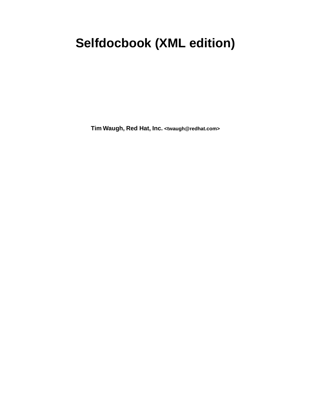# **Selfdocbook (XML edition)**

**Tim Waugh, Red Hat, Inc. <twaugh@redhat.com>**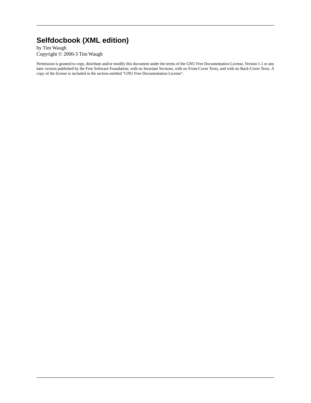## **Selfdocbook (XML edition)**

by Tim Waugh Copyright © 2000-3 Tim Waugh

Permission is granted to copy, distribute and/or modify this document under the terms of the GNU Free Documentation License, Version 1.1 or any later version published by the Free Software Foundation; with no Invariant Sections, with no Front-Cover Texts, and with no Back-Cover Texts. A copy of the license is included in the section entitled "GNU Free Documentation License".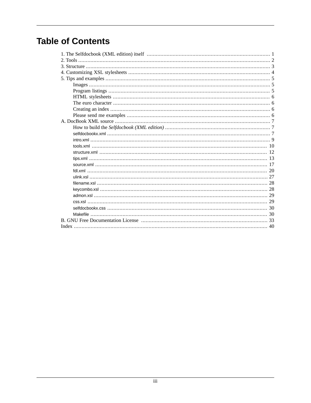## **Table of Contents**

| $\frac{1}{28}$ |
|----------------|
|                |
|                |
|                |
|                |
|                |
|                |
|                |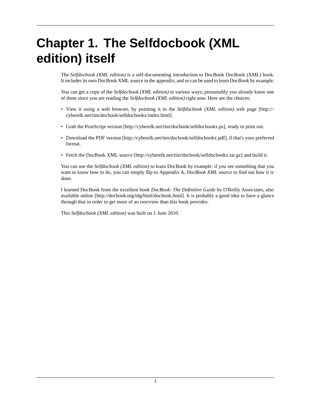# <span id="page-3-0"></span>**Chapter 1. The Selfdocbook (XML edition) itself**

The *Selfdocbook (XML edition)* is a self-documenting introduction to DocBook DocBook (XML) book. It includes its own DocBook XML source in the [appendix,](#page-9-0) and so can be used to learn DocBook by example.

You can get a copy of the *Selfdocbook (XML edition)* in various ways; presumably you already know one of them since you are reading the *Selfdocbook (XML edition)* right now. Here are the choices:

- View it using a web browser, by pointing it to the *[Selfdocbook \(XML edition\)](http://cyberelk.net/tim/docbook/selfdocbookx/index.html)* web page [[http://](http://cyberelk.net/tim/docbook/selfdocbookx/index.html) [cyberelk.net/tim/docbook/selfdocbookx/index.html\]](http://cyberelk.net/tim/docbook/selfdocbookx/index.html).
- Grab the [PostScript version](http://cyberelk.net/tim/docbook/selfdocbookx.ps) [<http://cyberelk.net/tim/docbook/selfdocbookx.ps>], ready to print out.
- Download the [PDF version](http://cyberelk.net/tim/docbook/selfdocbookx.pdf) [\[http://cyberelk.net/tim/docbook/selfdocbookx.pdf\]](http://cyberelk.net/tim/docbook/selfdocbookx.pdf), if that's your preferred format.
- Fetch the [DocBook XML source](http://cyberelk.net/tim/docbook/selfdocbookx.tar.gz) [<http://cyberelk.net/tim/docbook/selfdocbookx.tar.gz>] and build it.

You can use the *Selfdocbook (XML edition)* to learn DocBook by example: if you see something that you want to know how to do, you can simply flip to Appendix A, *[DocBook XML source](#page-9-0)* to find out how it is done.

I learned DocBook from the excellent book *DocBook: The Definitive Guide* by O'Reilly Associates, also [available online](http://docbook.org/tdg/html/docbook.html) [[http://docbook.org/tdg/html/docbook.html\]](http://docbook.org/tdg/html/docbook.html). It is probably a good idea to have a glance through that in order to get more of an overview than this book provides.

This *Selfdocbook (XML edition)* was built on 1 June 2010.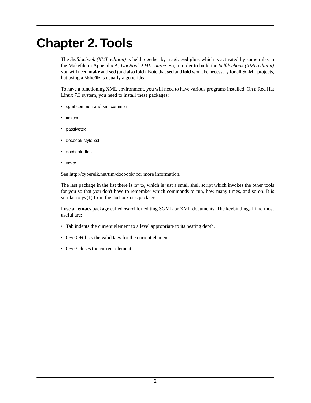# <span id="page-4-0"></span>**Chapter 2.Tools**

The *Selfdocbook (XML edition)* is held together by magic **sed** glue, which is activated by some rules in the [Makefile](#page-32-1) in Appendix A, *[DocBook XML source](#page-9-0)*. So, in order to build the *Selfdocbook (XML edition)* you will need **make** and **sed** (and also **fold**). Note that **sed** and **fold** won't be necessary for all SGML projects, but using a Makefile is usually a good idea.

<span id="page-4-5"></span>To have a functioning XML environment, you will need to have various programs installed. On a Red Hat Linux 7.3 system, you need to install these packages:

- <span id="page-4-6"></span>• sgml-common and xml-common
- <span id="page-4-4"></span>• xmltex
- <span id="page-4-2"></span>• passivetex
- <span id="page-4-1"></span>• docbook-style-xsl
- <span id="page-4-7"></span>• docbook-dtds
- xmlto

See <http://cyberelk.net/tim/docbook/>for more information.

<span id="page-4-3"></span>The last package in the list there is xmlto, which is just a small shell script which invokes the other tools for you so that you don't have to remember which commands to run, how many times, and so on. It is similar to  $jw(1)$  from the docbook-utils package.

I use an **emacs** package called psgml for editing SGML or XML documents. The keybindings I find most useful are:

- Tab indents the current element to a level appropriate to its nesting depth.
- C+c C+t lists the valid tags for the current element.
- C+c / closes the current element.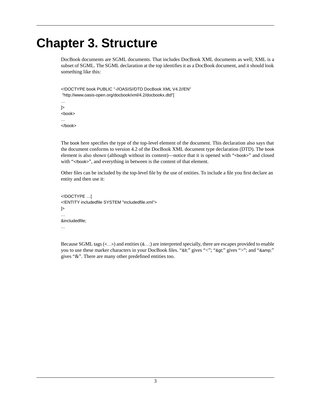# <span id="page-5-0"></span>**Chapter 3. Structure**

DocBook documents are SGML documents. That includes DocBook XML documents as well; XML is a subset of SGML. The SGML declaration at the top identifies it as a DocBook document, and it should look something like this:

<!DOCTYPE book PUBLIC "-//OASIS//DTD DocBook XML V4.2//EN" "http://www.oasis-open.org/docbook/xml/4.2/docbookx.dtd"[ … ]> <book> …

</book>

The book here specifies the type of the top-level element of the document. This declaration also says that the document conforms to version 4.2 of the DocBook XML document type declaration (DTD). The book element is also shown (although without its content)—notice that it is opened with "<book>" and closed with "</book>", and everything in between is the content of that element.

Other files can be included by the top-level file by the use of entities. To include a file you first declare an entity and then use it:

```
<!DOCTYPE …[
<!ENTITY includedfile SYSTEM "includedfile.xml">
]>
…
&includedfile;
…
```
Because SGML tags (<…>) and entities (&…;) are interpreted specially, there are escapes provided to enable you to use these marker characters in your DocBook files. "&It;" gives "<"; "&gt;" gives ">"; and "&amp;" gives "&". There are many other predefined entities too.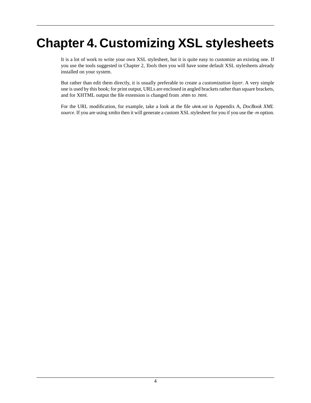# <span id="page-6-0"></span>**Chapter 4. Customizing XSL stylesheets**

It is a lot of work to write your own XSL stylesheet, but it is quite easy to customize an existing one. If you use the tools suggested in [Chapter 2,](#page-4-0) *Tools* then you will have some default XSL stylesheets already installed on your system.

But rather than edit them directly, it is usually preferable to create a *customization layer*. A very simple one is used by this book; for print output, URLs are enclosed in angled brackets rather than square brackets, and for XHTML output the file extension is changed from .xhtm to .html.

For the URL modification, for example, take a look at the file [ulink.xsl](#page-29-0) in Appendix A, *[DocBook XML](#page-9-0) [source](#page-9-0)*. If you are using xmlto then it will generate a custom XSL stylesheet for you if you use the -m option.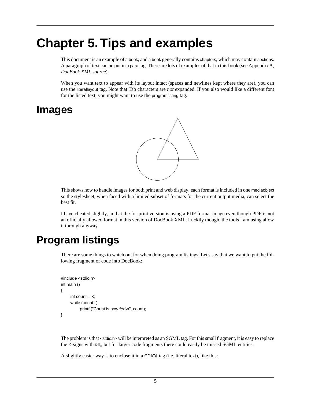# <span id="page-7-0"></span>**Chapter 5.Tips and examples**

This document is an example of a book, and a book generally contains chapters, which may contain sections. A paragraph of text can be put in a para tag. There are lots of examples of that in this book (see [Appendix A,](#page-9-0) *[DocBook XML source](#page-9-0)*).

<span id="page-7-1"></span>When you want text to appear with its layout intact (spaces and newlines kept where they are), you can use the literallayout tag. Note that Tab characters are *not* expanded. If you also would like a different font for the listed text, you might want to use the programlisting tag.

## **Images**



This shows how to handle images for both print and web display; each format is included in one mediaobject so the stylesheet, when faced with a limited subset of formats for the current output media, can select the best fit.

<span id="page-7-2"></span>I have cheated slightly, in that the for-print version is using a PDF format image even though PDF is not an officially allowed format in this version of DocBook XML. Luckily though, the tools I am using allow it through anyway.

## **Program listings**

There are some things to watch out for when doing program listings. Let's say that we want to put the following fragment of code into DocBook:

```
#include <stdio.h>
int main ()
{
     int count = 3;
      while (count--)
            printf ("Count is now %d\n", count);
}
```
The problem is that <stdio.h> will be interpreted as an SGML tag. For this small fragment, it is easy to replace the  $\lt$ -signs with  $\<$  th, but for larger code fragments there could easily be missed SGML entities.

A slightly easier way is to enclose it in a CDATA tag (i.e. literal text), like this: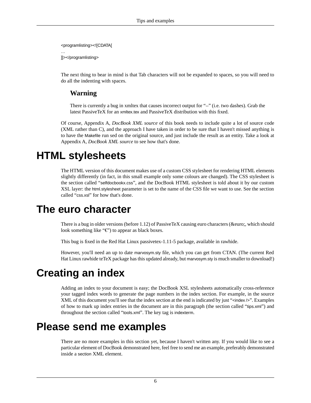```
<programlisting><![CDATA[
…
]]></programlisting>
```
The next thing to bear in mind is that Tab characters will not be expanded to spaces, so you will need to do all the indenting with spaces.

### **Warning**

There is currently a bug in xmltex that causes incorrect output for "--" (i.e. two dashes). Grab the latest PassiveTeX for an xmltex.tex and PassiveTeX distribution with this fixed.

<span id="page-8-0"></span>Of course, Appendix A, *[DocBook XML source](#page-9-0)* of this book needs to include quite a lot of source code (XML rather than C), and the approach I have taken in order to be sure that I haven't missed anything is to have the Makefile run sed on the original source, and just include the result as an entity. Take a look at Appendix A, *[DocBook XML source](#page-9-0)* to see how that's done.

## **HTML stylesheets**

<span id="page-8-1"></span>The HTML version of this document makes use of a custom CSS stylesheet for rendering HTML elements slightly differently (in fact, in this small example only some colours are changed). The CSS stylesheet is [the section called "](#page-32-0)selfdocbookx.css", and the DocBook HTML stylesheet is told about it by our custom XSL layer: the html.stylesheet parameter is set to the name of the CSS file we want to use. See [the section](#page-31-1) [called "](#page-31-1)css.xsl" for how that's done.

## **The euro character**

There is a bug in older versions (before 1.12) of PassiveTeX causing euro characters (€, which should look something like " $\epsilon$ ") to appear as black boxes.

<span id="page-8-2"></span>This bug is fixed in the Red Hat Linux passivetex-1.11-5 package, available in rawhide.

<span id="page-8-4"></span>However, you'll need an up to date marvosym.sty file, which you can get from CTAN. (The current Red Hat Linux rawhide teTeX package has this updated already, but marvosym.sty is much smaller to download!)

## **Creating an index**

<span id="page-8-3"></span>Adding an index to your document is easy; the DocBook XSL stylesheets automatically cross-reference your tagged index words to generate the page numbers in the index section. For example, in the source XML of this document you'll see that the index section at the end is indicated by just "<index />". Examples of how to mark up index entries in the document are in this paragraph [\(the section called "](#page-15-0)tips.xml") and throughout [the section called "](#page-12-0)tools.xml". The key tag is indexterm.

## **Please send me examples**

There are no more examples in this section yet, because I haven't written any. If you would like to see a particular element of DocBook demonstrated here, feel free to send me an example, preferably demonstrated inside a section XML element.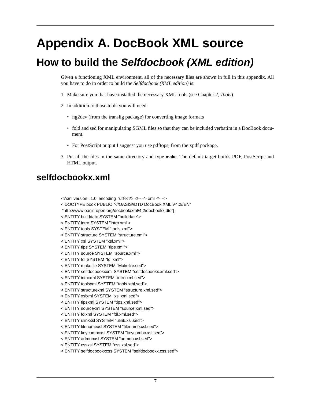# <span id="page-9-0"></span>**Appendix A. DocBook XML source**

## <span id="page-9-1"></span>**How to build the** *Selfdocbook (XML edition)*

Given a functioning XML environment, all of the necessary files are shown in full in this appendix. All you have to do in order to build the *Selfdocbook (XML edition)* is:

- 1. Make sure you that have installed the necessary XML tools (see [Chapter 2,](#page-4-0) *Tools*).
- 2. In addition to those tools you will need:
	- fig2dev (from the transfig package) for converting image formats
	- fold and sed for manipulating SGML files so that they can be included verbatim in a DocBook document.
	- For PostScript output I suggest you use pdftops, from the xpdf package.
- <span id="page-9-2"></span>3. Put all the files in the same directory and type **make**. The default target builds PDF, PostScript and HTML output.

## **selfdocbookx.xml**

<?xml version='1.0' encoding='utf-8'?> <!-- -\*- xml -\*- --> <!DOCTYPE book PUBLIC "-//OASIS//DTD DocBook XML V4.2//EN" "http://www.oasis-open.org/docbook/xml/4.2/docbookx.dtd"[ <!ENTITY builddate SYSTEM "builddate"> <!ENTITY intro SYSTEM "intro.xml"> <!ENTITY tools SYSTEM "tools.xml"> <!ENTITY structure SYSTEM "structure.xml"> <!ENTITY xsl SYSTEM "xsl.xml"> <!ENTITY tips SYSTEM "tips.xml"> <!ENTITY source SYSTEM "source.xml"> <!ENTITY fdl SYSTEM "fdl.xml"> <!ENTITY makefile SYSTEM "Makefile.sed"> <!ENTITY selfdocbookxxml SYSTEM "selfdocbookx.xml.sed"> <!ENTITY introxml SYSTEM "intro.xml.sed"> <!ENTITY toolsxml SYSTEM "tools.xml.sed"> <!ENTITY structurexml SYSTEM "structure.xml.sed"> <!ENTITY xslxml SYSTEM "xsl.xml.sed"> <!ENTITY tipsxml SYSTEM "tips.xml.sed"> <!ENTITY sourcexml SYSTEM "source.xml.sed"> <!ENTITY fdlxml SYSTEM "fdl.xml.sed"> <!ENTITY ulinkxsl SYSTEM "ulink.xsl.sed"> <!ENTITY filenamexsl SYSTEM "filename.xsl.sed"> <!ENTITY keycomboxsl SYSTEM "keycombo.xsl.sed"> <!ENTITY admonxsl SYSTEM "admon.xsl.sed"> <!ENTITY cssxsl SYSTEM "css.xsl.sed"> <!ENTITY selfdocbookxcss SYSTEM "selfdocbookx.css.sed">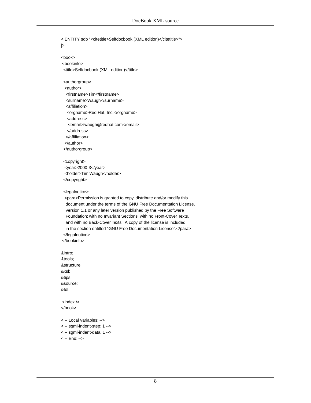<!ENTITY sdb "<citetitle>Selfdocbook (XML edition)</citetitle>">  $\geq$ <book> <bookinfo> <title>Selfdocbook (XML edition)</title> <authorgroup> <author> <firstname>Tim</firstname> <surname>Waugh</surname> <affiliation> <orgname>Red Hat, Inc.</orgname> <address> <email>twaugh@redhat.com</email> </address> </affiliation> </author> </authorgroup> <copyright> <year>2000-3</year> <holder>Tim Waugh</holder> </copyright> <legalnotice> <para>Permission is granted to copy, distribute and/or modify this document under the terms of the GNU Free Documentation License, Version 1.1 or any later version published by the Free Software Foundation; with no Invariant Sections, with no Front-Cover Texts, and with no Back-Cover Texts. A copy of the license is included in the section entitled "GNU Free Documentation License".</para> </legalnotice> </bookinfo> &intro; &tools; &structure; &xsl; &tips; &source; &fdl; <index /> </book> <!-- Local Variables: --> <!-- sgml-indent-step: 1 --> <!-- sgml-indent-data: 1 -->

<!-- End: -->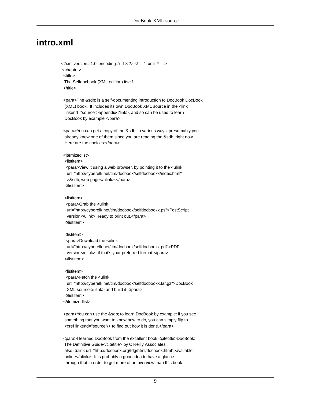### <span id="page-11-0"></span>**intro.xml**

<?xml version='1.0' encoding='utf-8'?> <!-- -\*- xml -\*- --> <chapter> <title> The Selfdocbook (XML edition) itself </title>

 <para>The &sdb; is a self-documenting introduction to DocBook DocBook (XML) book. It includes its own DocBook XML source in the <link linkend="source">appendix</link>, and so can be used to learn DocBook by example.</para>

 <para>You can get a copy of the &sdb; in various ways; presumably you already know one of them since you are reading the &sdb; right now. Here are the choices:</para>

#### <itemizedlist>

#### <listitem>

 <para>View it using a web browser, by pointing it to the <ulink url="http://cyberelk.net/tim/docbook/selfdocbookx/index.html" >&sdb; web page</ulink>.</para> </listitem>

#### <listitem>

 <para>Grab the <ulink url="http://cyberelk.net/tim/docbook/selfdocbookx.ps">PostScript version</ulink>, ready to print out.</para> </listitem>

#### <listitem>

 <para>Download the <ulink url="http://cyberelk.net/tim/docbook/selfdocbookx.pdf">PDF version</ulink>, if that's your preferred format.</para> </listitem>

#### <listitem>

 <para>Fetch the <ulink url="http://cyberelk.net/tim/docbook/selfdocbookx.tar.gz">DocBook XML source</ulink> and build it.</para> </listitem> </itemizedlist>

 <para>You can use the &sdb; to learn DocBook by example: if you see something that you want to know how to do, you can simply flip to <xref linkend="source"/> to find out how it is done.</para>

 <para>I learned DocBook from the excellent book <citetitle>DocBook: The Definitive Guide</citetitle> by O'Reilly Associates, also <ulink url="http://docbook.org/tdg/html/docbook.html">available online</ulink>. It is probably a good idea to have a glance through that in order to get more of an overview than this book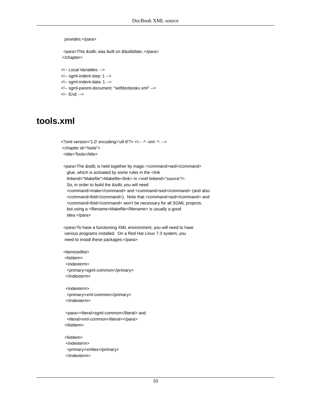provides.</para>

 <para>This &sdb; was built on &builddate;.</para> </chapter>

<!-- Local Variables: -->

<!-- sgml-indent-step: 1 -->

<!-- sgml-indent-data: 1 -->

<!-- sgml-parent-document: "selfdocbookx.xml" -->

<span id="page-12-0"></span><!-- End: -->

### **tools.xml**

<?xml version='1.0' encoding='utf-8'?> <!-- -\*- xml -\*- --> <chapter id="tools"> <title>Tools</title>

 <para>The &sdb; is held together by magic <command>sed</command> glue, which is activated by some rules in the <link linkend="Makefile">Makefile</link> in <xref linkend="source"/>. So, in order to build the &sdb; you will need <command>make</command> and <command>sed</command> (and also <command>fold</command>). Note that <command>sed</command> and <command>fold</command> won't be necessary for all SGML projects, but using a <filename>Makefile</filename> is usually a good idea.</para>

 <para>To have a functioning XML environment, you will need to have various programs installed. On a Red Hat Linux 7.3 system, you need to install these packages:</para>

 <itemizedlist> <listitem> <indexterm> <primary>sgml-common</primary> </indexterm>

 <indexterm> <primary>xml-common</primary> </indexterm>

 <para><literal>sgml-common</literal> and <literal>xml-common</literal></para> </listitem>

 <listitem> <indexterm> <primary>xmltex</primary> </indexterm>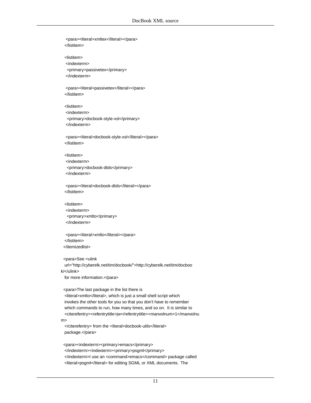<para><literal>xmltex</literal></para> </listitem> <listitem> <indexterm> <primary>passivetex</primary> </indexterm> <para><literal>passivetex</literal></para> </listitem> <listitem> <indexterm> <primary>docbook-style-xsl</primary> </indexterm> <para><literal>docbook-style-xsl</literal></para> </listitem> <listitem> <indexterm> <primary>docbook-dtds</primary> </indexterm> <para><literal>docbook-dtds</literal></para> </listitem> <listitem> <indexterm> <primary>xmlto</primary> </indexterm> <para><literal>xmlto</literal></para> </listitem> </itemizedlist> <para>See <ulink url="http://cyberelk.net/tim/docbook/">http://cyberelk.net/tim/docboo k/</ulink> for more information.</para> <para>The last package in the list there is <literal>xmlto</literal>, which is just a small shell script which invokes the other tools for you so that you don't have to remember which commands to run, how many times, and so on. It is similar to <citerefentry><refentrytitle>jw</refentrytitle><manvolnum>1</manvolnu m> </citerefentry> from the <literal>docbook-utils</literal> package.</para> <para><indexterm><primary>emacs</primary>

</indexterm><indexterm><primary>psgml</primary> </indexterm>I use an <command>emacs</command> package called <literal>psgml</literal> for editing SGML or XML documents. The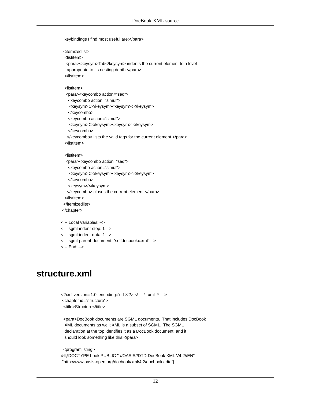keybindings I find most useful are:</para>

<itemizedlist>

<listitem>

 <para><keysym>Tab</keysym> indents the current element to a level appropriate to its nesting depth.</para>

</listitem>

#### <listitem>

```
 <para><keycombo action="seq">
  <keycombo action="simul">
   <keysym>C</keysym><keysym>c</keysym>
   </keycombo>
   <keycombo action="simul">
   <keysym>C</keysym><keysym>t</keysym>
   </keycombo>
  </keycombo> lists the valid tags for the current element.</para>
 </listitem>
```
#### <listitem>

```
 <para><keycombo action="seq">
   <keycombo action="simul">
    <keysym>C</keysym><keysym>c</keysym>
    </keycombo>
    <keysym>/</keysym>
   </keycombo> closes the current element.</para>
 </listitem>
 </itemizedlist>
 </chapter>
```
#### <!-- Local Variables: -->

```
<!-- sgml-indent-step: 1 -->
```
- <!-- sgml-indent-data: 1 -->
- <span id="page-14-0"></span><!-- sgml-parent-document: "selfdocbookx.xml" -->
- <!-- End: -->

### **structure.xml**

```
<?xml version='1.0' encoding='utf-8'?> <!-- -*- xml -*- -->
 <chapter id="structure">
 <title>Structure</title>
```
 <para>DocBook documents are SGML documents. That includes DocBook XML documents as well; XML is a subset of SGML. The SGML declaration at the top identifies it as a DocBook document, and it should look something like this:</para>

<programlisting>

<!DOCTYPE book PUBLIC "-//OASIS//DTD DocBook XML V4.2//EN" "http://www.oasis-open.org/docbook/xml/4.2/docbookx.dtd"[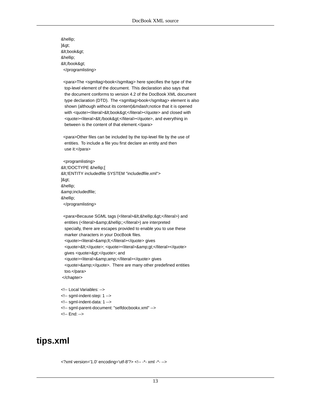…  $\beta$ . <book&gt; … </book&gt; </programlisting>

 <para>The <sgmltag>book</sgmltag> here specifies the type of the top-level element of the document. This declaration also says that the document conforms to version 4.2 of the DocBook XML document type declaration (DTD). The <sgmltag>book</sgmltag> element is also shown (although without its content)—notice that it is opened with <quote><literal>&lt;book&gt;</literal></quote> and closed with <quote><literal>&lt;/book&gt;</literal></quote>, and everything in between is the content of that element.</para>

 <para>Other files can be included by the top-level file by the use of entities. To include a file you first declare an entity and then use it:</para>

 <programlisting> < !DOCTYPE &hellip;[ <!ENTITY includedfile SYSTEM "includedfile.xml">  $\beta$ . … &includedfile; … </programlisting>

<para>Because SGML tags (<literal>&lt;&hellip;&gt;</literal>) and entities (<literal>&amp;&hellip;;</literal>) are interpreted specially, there are escapes provided to enable you to use these marker characters in your DocBook files. <quote><literal>&amp;lt;</literal></quote> gives <quote>&lt;</quote>; <quote><literal>&amp;gt;</literal></quote> gives <quote>&gt;</quote>; and <quote><literal>&amp;amp;</literal></quote> gives <quote>&amp;</quote>. There are many other predefined entities too.</para> </chapter>

<span id="page-15-0"></span><!-- Local Variables: --> <!-- sgml-indent-step: 1 --> <!-- sgml-indent-data: 1 --> <!-- sgml-parent-document: "selfdocbookx.xml" --> <!-- End: -->

## **tips.xml**

<?xml version='1.0' encoding='utf-8'?> <!-- -\*- xml -\*- -->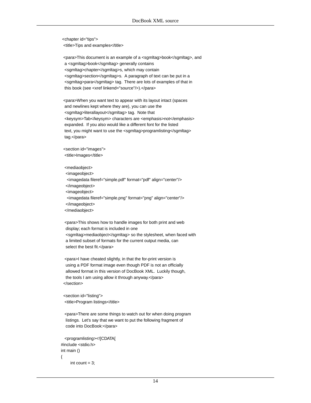<chapter id="tips"> <title>Tips and examples</title>

 <para>This document is an example of a <sgmltag>book</sgmltag>, and a <sgmltag>book</sgmltag> generally contains <sgmltag>chapter</sgmltag>s, which may contain <sgmltag>section</sgmltag>s. A paragraph of text can be put in a <sgmltag>para</sgmltag> tag. There are lots of examples of that in this book (see <xref linkend="source"/>).</para>

 <para>When you want text to appear with its layout intact (spaces and newlines kept where they are), you can use the <sgmltag>literallayout</sgmltag> tag. Note that <keysym>Tab</keysym> characters are <emphasis>not</emphasis> expanded. If you also would like a different font for the listed text, you might want to use the <sgmltag>programlisting</sgmltag> tag.</para>

 <section id="images"> <title>Images</title>

<mediaobject>

<imageobject>

<imagedata fileref="simple.pdf" format="pdf" align="center"/>

</imageobject>

<imageobject>

 <imagedata fileref="simple.png" format="png" align="center"/> </imageobject>

</mediaobject>

 <para>This shows how to handle images for both print and web display; each format is included in one <sgmltag>mediaobject</sgmltag> so the stylesheet, when faced with a limited subset of formats for the current output media, can select the best fit.</para>

 <para>I have cheated slightly, in that the for-print version is using a PDF format image even though PDF is not an officially allowed format in this version of DocBook XML. Luckily though, the tools I am using allow it through anyway.</para> </section>

 <section id="listing"> <title>Program listings</title>

 <para>There are some things to watch out for when doing program listings. Let's say that we want to put the following fragment of code into DocBook:</para>

```
 <programlisting><![CDATA[
#include <stdio.h>
int main ()
{
     int count = 3:
```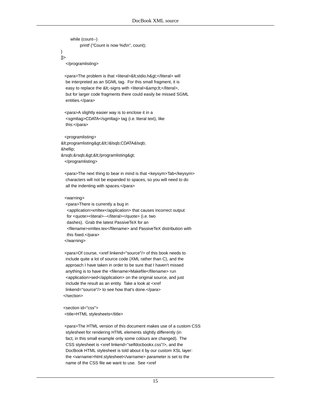while (count--) printf ("Count is now %d\n", count); ]]>

</programlisting>

}

<para>The problem is that <literal>&lt;stdio.h&gt;</literal> will be interpreted as an SGML tag. For this small fragment, it is easy to replace the <-signs with <literal>&amp;lt;</literal>, but for larger code fragments there could easily be missed SGML entities.</para>

 <para>A slightly easier way is to enclose it in a <sgmltag>CDATA</sgmltag> tag (i.e. literal text), like this:</para>

 <programlisting> <programlisting&gt;&lt;!&lsqb;CDATA&lsqb; … ]]></programlisting&gt; </programlisting>

 <para>The next thing to bear in mind is that <keysym>Tab</keysym> characters will not be expanded to spaces, so you will need to do all the indenting with spaces.</para>

<warning>

 <para>There is currently a bug in <application>xmltex</application> that causes incorrect output for <quote><literal>--</literal></quote> (i.e. two dashes). Grab the latest PassiveTeX for an <filename>xmltex.tex</filename> and PassiveTeX distribution with this fixed.</para> </warning>

 <para>Of course, <xref linkend="source"/> of this book needs to include quite a lot of source code (XML rather than C), and the approach I have taken in order to be sure that I haven't missed anything is to have the <filename>Makefile</filename> run <application>sed</application> on the original source, and just include the result as an entity. Take a look at <xref linkend="source"/> to see how that's done.</para> </section>

 <section id="css"> <title>HTML stylesheets</title>

 <para>The HTML version of this document makes use of a custom CSS stylesheet for rendering HTML elements slightly differently (in fact, in this small example only some colours are changed). The CSS stylesheet is <xref linkend="selfdocbookx.css"/>, and the DocBook HTML stylesheet is told about it by our custom XSL layer: the <varname>html.stylesheet</varname> parameter is set to the name of the CSS file we want to use. See <xref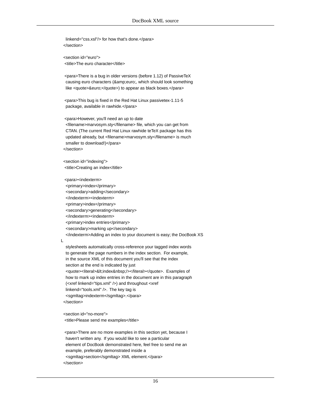linkend="css.xsl"/> for how that's done.</para> </section>

 <section id="euro"> <title>The euro character</title>

 <para>There is a bug in older versions (before 1.12) of PassiveTeX causing euro characters (& amp; euro;, which should look something like <quote>&euro;</quote>) to appear as black boxes.</para>

 <para>This bug is fixed in the Red Hat Linux passivetex-1.11-5 package, available in rawhide.</para>

 <para>However, you'll need an up to date <filename>marvosym.sty</filename> file, which you can get from CTAN. (The current Red Hat Linux rawhide teTeX package has this

 updated already, but <filename>marvosym.sty</filename> is much smaller to download!)</para> </section>

 <section id="indexing"> <title>Creating an index</title>

 <para><indexterm> <primary>index</primary> <secondary>adding</secondary> </indexterm><indexterm> <primary>index</primary> <secondary>generating</secondary> </indexterm><indexterm> <primary>index entries</primary> <secondary>marking up</secondary> </indexterm>Adding an index to your document is easy; the DocBook XS

L

 stylesheets automatically cross-reference your tagged index words to generate the page numbers in the index section. For example, in the source XML of this document you'll see that the index section at the end is indicated by just <quote><literal>&lt;index&nbsp;/></literal></quote>. Examples of how to mark up index entries in the document are in this paragraph (<xref linkend="tips.xml" />) and throughout <xref linkend="tools.xml" />. The key tag is <sgmltag>indexterm</sgmltag>.</para> </section>

 <section id="no-more"> <title>Please send me examples</title>

 <para>There are no more examples in this section yet, because I haven't written any. If you would like to see a particular element of DocBook demonstrated here, feel free to send me an example, preferably demonstrated inside a <sgmltag>section</sgmltag> XML element.</para> </section>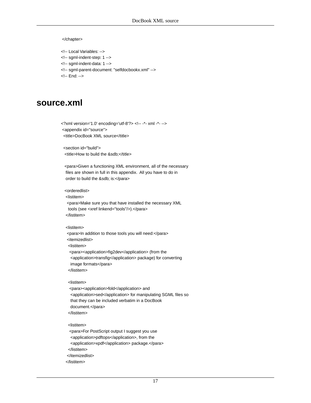#### </chapter>

- <!-- Local Variables: -->
- <!-- sgml-indent-step: 1 -->
- <!-- sgml-indent-data: 1 -->
- <!-- sgml-parent-document: "selfdocbookx.xml" -->
- <span id="page-19-0"></span><!-- End: -->

### **source.xml**

<?xml version='1.0' encoding='utf-8'?> <!-- -\*- xml -\*- --> <appendix id="source"> <title>DocBook XML source</title>

 <section id="build"> <title>How to build the &sdb;</title>

 <para>Given a functioning XML environment, all of the necessary files are shown in full in this appendix. All you have to do in order to build the &sdb; is:</para>

#### <orderedlist>

<listitem>

 <para>Make sure you that have installed the necessary XML tools (see <xref linkend="tools"/>).</para> </listitem>

#### <listitem>

<para>In addition to those tools you will need:</para>

<itemizedlist>

<listitem>

 <para><application>fig2dev</application> (from the <application>transfig</application> package) for converting image formats</para> </listitem>

#### <listitem>

 <para><application>fold</application> and <application>sed</application> for manipulating SGML files so that they can be included verbatim in a DocBook document.</para> </listitem>

#### <listitem>

 <para>For PostScript output I suggest you use <application>pdftops</application>, from the <application>xpdf</application> package.</para> </listitem> </itemizedlist> </listitem>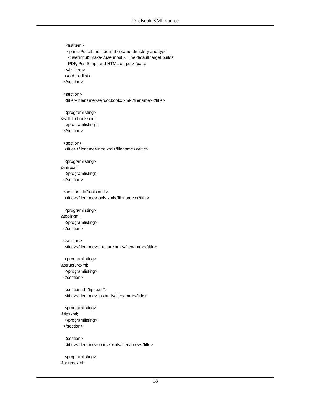<listitem> <para>Put all the files in the same directory and type <userinput>make</userinput>. The default target builds PDF, PostScript and HTML output.</para> </listitem> </orderedlist> </section> <section> <title><filename>selfdocbookx.xml</filename></title> <programlisting> &selfdocbookxxml; </programlisting> </section> <section> <title><filename>intro.xml</filename></title> <programlisting> &introxml; </programlisting> </section> <section id="tools.xml"> <title><filename>tools.xml</filename></title> <programlisting> &toolsxml; </programlisting> </section> <section> <title><filename>structure.xml</filename></title> <programlisting> &structurexml; </programlisting> </section> <section id="tips.xml"> <title><filename>tips.xml</filename></title> <programlisting> &tipsxml; </programlisting> </section> <section> <title><filename>source.xml</filename></title> <programlisting> &sourcexml;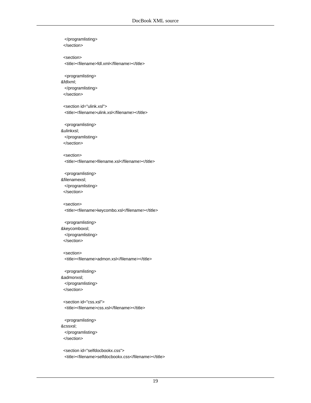| <br>                                                   |
|--------------------------------------------------------|
|                                                        |
| <section></section>                                    |
| <title><filename>fdl.xml</filename></title>            |
| <programlisting></programlisting>                      |
| &fdlxml                                                |
|                                                        |
|                                                        |
| <section id="ulink.xsl"></section>                     |
| <title><filename>ulink.xsl</filename></title>          |
| <programlisting></programlisting>                      |
| &ulinkxsl                                              |
|                                                        |
|                                                        |
| <section></section>                                    |
| <title><filename>filename.xsl</filename></title>       |
|                                                        |
| <programlisting><br/>&amp;filenamexsl</programlisting> |
|                                                        |
|                                                        |
| <section></section>                                    |
| <title><filename>keycombo.xsl</filename></title>       |
|                                                        |
| <programlisting></programlisting>                      |
| &keycomboxsl<br>                                       |
|                                                        |
|                                                        |
| <section></section>                                    |
| <title><filename>admon.xsl</filename></title>          |
| <programlisting></programlisting>                      |
| &admonxsl                                              |
|                                                        |
|                                                        |
| <section id="css.xsl"></section>                       |
| <title><filename>css.xsl</filename></title>            |
| <programlisting></programlisting>                      |
| &cssxsl:                                               |
|                                                        |
|                                                        |
| <section id="selfdocbookx.css"></section>              |

<title><filename>selfdocbookx.css</filename></title>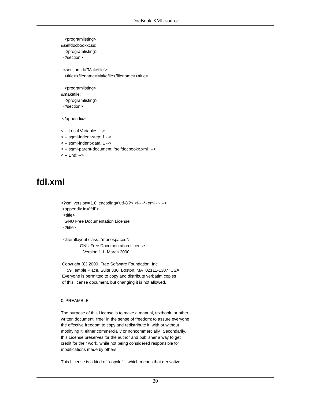```
 <programlisting>
&selfdocbookxcss;
  </programlisting>
  </section>
  <section id="Makefile">
  <title><filename>Makefile</filename></title>
  <programlisting>
&makefile;
  </programlisting>
  </section>
 </appendix>
<!-- Local Variables: -->
<!-- sgml-indent-step: 1 -->
<!-- sgml-indent-data: 1 -->
<!-- sgml-parent-document: "selfdocbookx.xml" -->
```
<span id="page-22-0"></span><!-- End: -->

## **fdl.xml**

```
<?xml version='1.0' encoding='utf-8'?> <!-- -*- xml -*- -->
 <appendix id="fdl">
  <title>
  GNU Free Documentation License
  </title>
```
 <literallayout class="monospaced"> GNU Free Documentation License Version 1.1, March 2000

 Copyright (C) 2000 Free Software Foundation, Inc. 59 Temple Place, Suite 330, Boston, MA 02111-1307 USA Everyone is permitted to copy and distribute verbatim copies of this license document, but changing it is not allowed.

#### 0. PREAMBLE

The purpose of this License is to make a manual, textbook, or other written document "free" in the sense of freedom: to assure everyone the effective freedom to copy and redistribute it, with or without modifying it, either commercially or noncommercially. Secondarily, this License preserves for the author and publisher a way to get credit for their work, while not being considered responsible for modifications made by others.

This License is a kind of "copyleft", which means that derivative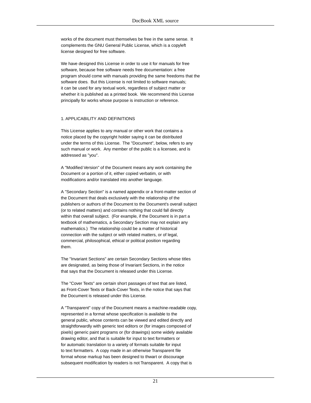works of the document must themselves be free in the same sense. It complements the GNU General Public License, which is a copyleft license designed for free software.

We have designed this License in order to use it for manuals for free software, because free software needs free documentation: a free program should come with manuals providing the same freedoms that the software does. But this License is not limited to software manuals; it can be used for any textual work, regardless of subject matter or whether it is published as a printed book. We recommend this License principally for works whose purpose is instruction or reference.

#### 1. APPLICABILITY AND DEFINITIONS

This License applies to any manual or other work that contains a notice placed by the copyright holder saying it can be distributed under the terms of this License. The "Document", below, refers to any such manual or work. Any member of the public is a licensee, and is addressed as "you".

A "Modified Version" of the Document means any work containing the Document or a portion of it, either copied verbatim, or with modifications and/or translated into another language.

A "Secondary Section" is a named appendix or a front-matter section of the Document that deals exclusively with the relationship of the publishers or authors of the Document to the Document's overall subject (or to related matters) and contains nothing that could fall directly within that overall subject. (For example, if the Document is in part a textbook of mathematics, a Secondary Section may not explain any mathematics.) The relationship could be a matter of historical connection with the subject or with related matters, or of legal, commercial, philosophical, ethical or political position regarding them.

The "Invariant Sections" are certain Secondary Sections whose titles are designated, as being those of Invariant Sections, in the notice that says that the Document is released under this License.

The "Cover Texts" are certain short passages of text that are listed, as Front-Cover Texts or Back-Cover Texts, in the notice that says that the Document is released under this License.

A "Transparent" copy of the Document means a machine-readable copy, represented in a format whose specification is available to the general public, whose contents can be viewed and edited directly and straightforwardly with generic text editors or (for images composed of pixels) generic paint programs or (for drawings) some widely available drawing editor, and that is suitable for input to text formatters or for automatic translation to a variety of formats suitable for input to text formatters. A copy made in an otherwise Transparent file format whose markup has been designed to thwart or discourage subsequent modification by readers is not Transparent. A copy that is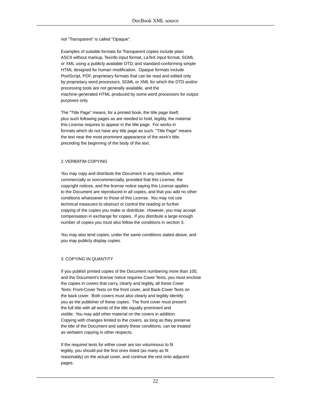not "Transparent" is called "Opaque".

Examples of suitable formats for Transparent copies include plain ASCII without markup, Texinfo input format, LaTeX input format, SGML or XML using a publicly available DTD, and standard-conforming simple HTML designed for human modification. Opaque formats include PostScript, PDF, proprietary formats that can be read and edited only by proprietary word processors, SGML or XML for which the DTD and/or processing tools are not generally available, and the machine-generated HTML produced by some word processors for output purposes only.

The "Title Page" means, for a printed book, the title page itself, plus such following pages as are needed to hold, legibly, the material this License requires to appear in the title page. For works in formats which do not have any title page as such, "Title Page" means the text near the most prominent appearance of the work's title, preceding the beginning of the body of the text.

#### 2. VERBATIM COPYING

You may copy and distribute the Document in any medium, either commercially or noncommercially, provided that this License, the copyright notices, and the license notice saying this License applies to the Document are reproduced in all copies, and that you add no other conditions whatsoever to those of this License. You may not use technical measures to obstruct or control the reading or further copying of the copies you make or distribute. However, you may accept compensation in exchange for copies. If you distribute a large enough number of copies you must also follow the conditions in section 3.

You may also lend copies, under the same conditions stated above, and you may publicly display copies.

#### 3. COPYING IN QUANTITY

If you publish printed copies of the Document numbering more than 100, and the Document's license notice requires Cover Texts, you must enclose the copies in covers that carry, clearly and legibly, all these Cover Texts: Front-Cover Texts on the front cover, and Back-Cover Texts on the back cover. Both covers must also clearly and legibly identify you as the publisher of these copies. The front cover must present the full title with all words of the title equally prominent and visible. You may add other material on the covers in addition. Copying with changes limited to the covers, as long as they preserve the title of the Document and satisfy these conditions, can be treated as verbatim copying in other respects.

If the required texts for either cover are too voluminous to fit legibly, you should put the first ones listed (as many as fit reasonably) on the actual cover, and continue the rest onto adjacent pages.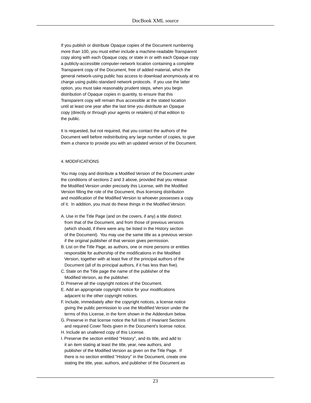If you publish or distribute Opaque copies of the Document numbering more than 100, you must either include a machine-readable Transparent copy along with each Opaque copy, or state in or with each Opaque copy a publicly-accessible computer-network location containing a complete Transparent copy of the Document, free of added material, which the general network-using public has access to download anonymously at no charge using public-standard network protocols. If you use the latter option, you must take reasonably prudent steps, when you begin distribution of Opaque copies in quantity, to ensure that this Transparent copy will remain thus accessible at the stated location until at least one year after the last time you distribute an Opaque copy (directly or through your agents or retailers) of that edition to the public.

It is requested, but not required, that you contact the authors of the Document well before redistributing any large number of copies, to give them a chance to provide you with an updated version of the Document.

#### 4. MODIFICATIONS

You may copy and distribute a Modified Version of the Document under the conditions of sections 2 and 3 above, provided that you release the Modified Version under precisely this License, with the Modified Version filling the role of the Document, thus licensing distribution and modification of the Modified Version to whoever possesses a copy of it. In addition, you must do these things in the Modified Version:

- A. Use in the Title Page (and on the covers, if any) a title distinct from that of the Document, and from those of previous versions (which should, if there were any, be listed in the History section of the Document). You may use the same title as a previous version if the original publisher of that version gives permission.
- B. List on the Title Page, as authors, one or more persons or entities responsible for authorship of the modifications in the Modified Version, together with at least five of the principal authors of the Document (all of its principal authors, if it has less than five).
- C. State on the Title page the name of the publisher of the Modified Version, as the publisher.
- D. Preserve all the copyright notices of the Document.
- E. Add an appropriate copyright notice for your modifications adjacent to the other copyright notices.
- F. Include, immediately after the copyright notices, a license notice giving the public permission to use the Modified Version under the terms of this License, in the form shown in the Addendum below.
- G. Preserve in that license notice the full lists of Invariant Sections and required Cover Texts given in the Document's license notice.
- H. Include an unaltered copy of this License.
- I. Preserve the section entitled "History", and its title, and add to it an item stating at least the title, year, new authors, and publisher of the Modified Version as given on the Title Page. If there is no section entitled "History" in the Document, create one stating the title, year, authors, and publisher of the Document as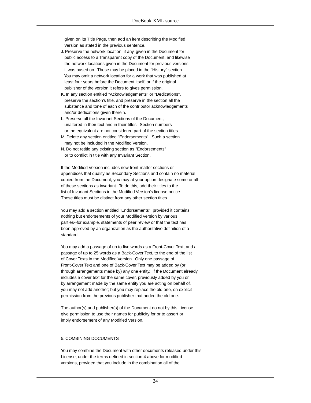given on its Title Page, then add an item describing the Modified Version as stated in the previous sentence.

- J. Preserve the network location, if any, given in the Document for public access to a Transparent copy of the Document, and likewise the network locations given in the Document for previous versions it was based on. These may be placed in the "History" section. You may omit a network location for a work that was published at least four years before the Document itself, or if the original publisher of the version it refers to gives permission.
- K. In any section entitled "Acknowledgements" or "Dedications", preserve the section's title, and preserve in the section all the substance and tone of each of the contributor acknowledgements and/or dedications given therein.
- L. Preserve all the Invariant Sections of the Document, unaltered in their text and in their titles. Section numbers or the equivalent are not considered part of the section titles.
- M. Delete any section entitled "Endorsements". Such a section may not be included in the Modified Version.
- N. Do not retitle any existing section as "Endorsements" or to conflict in title with any Invariant Section.

If the Modified Version includes new front-matter sections or appendices that qualify as Secondary Sections and contain no material copied from the Document, you may at your option designate some or all of these sections as invariant. To do this, add their titles to the list of Invariant Sections in the Modified Version's license notice. These titles must be distinct from any other section titles.

You may add a section entitled "Endorsements", provided it contains nothing but endorsements of your Modified Version by various parties--for example, statements of peer review or that the text has been approved by an organization as the authoritative definition of a standard.

You may add a passage of up to five words as a Front-Cover Text, and a passage of up to 25 words as a Back-Cover Text, to the end of the list of Cover Texts in the Modified Version. Only one passage of Front-Cover Text and one of Back-Cover Text may be added by (or through arrangements made by) any one entity. If the Document already includes a cover text for the same cover, previously added by you or by arrangement made by the same entity you are acting on behalf of, you may not add another; but you may replace the old one, on explicit permission from the previous publisher that added the old one.

The author(s) and publisher(s) of the Document do not by this License give permission to use their names for publicity for or to assert or imply endorsement of any Modified Version.

#### 5. COMBINING DOCUMENTS

You may combine the Document with other documents released under this License, under the terms defined in section 4 above for modified versions, provided that you include in the combination all of the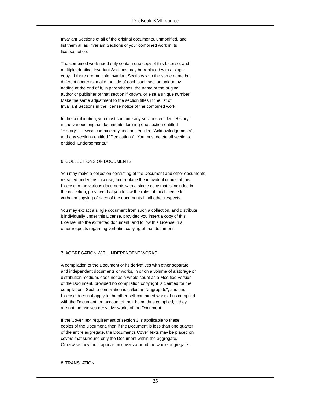Invariant Sections of all of the original documents, unmodified, and list them all as Invariant Sections of your combined work in its license notice.

The combined work need only contain one copy of this License, and multiple identical Invariant Sections may be replaced with a single copy. If there are multiple Invariant Sections with the same name but different contents, make the title of each such section unique by adding at the end of it, in parentheses, the name of the original author or publisher of that section if known, or else a unique number. Make the same adjustment to the section titles in the list of Invariant Sections in the license notice of the combined work.

In the combination, you must combine any sections entitled "History" in the various original documents, forming one section entitled "History"; likewise combine any sections entitled "Acknowledgements", and any sections entitled "Dedications". You must delete all sections entitled "Endorsements."

#### 6. COLLECTIONS OF DOCUMENTS

You may make a collection consisting of the Document and other documents released under this License, and replace the individual copies of this License in the various documents with a single copy that is included in the collection, provided that you follow the rules of this License for verbatim copying of each of the documents in all other respects.

You may extract a single document from such a collection, and distribute it individually under this License, provided you insert a copy of this License into the extracted document, and follow this License in all other respects regarding verbatim copying of that document.

#### 7. AGGREGATION WITH INDEPENDENT WORKS

A compilation of the Document or its derivatives with other separate and independent documents or works, in or on a volume of a storage or distribution medium, does not as a whole count as a Modified Version of the Document, provided no compilation copyright is claimed for the compilation. Such a compilation is called an "aggregate", and this License does not apply to the other self-contained works thus compiled with the Document, on account of their being thus compiled, if they are not themselves derivative works of the Document.

If the Cover Text requirement of section 3 is applicable to these copies of the Document, then if the Document is less than one quarter of the entire aggregate, the Document's Cover Texts may be placed on covers that surround only the Document within the aggregate. Otherwise they must appear on covers around the whole aggregate.

#### 8. TRANSLATION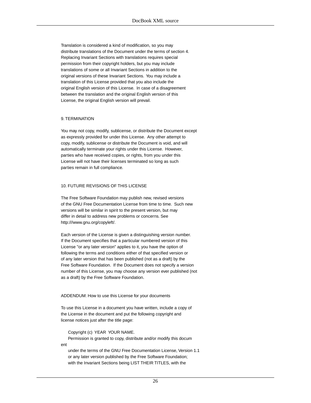Translation is considered a kind of modification, so you may distribute translations of the Document under the terms of section 4. Replacing Invariant Sections with translations requires special permission from their copyright holders, but you may include translations of some or all Invariant Sections in addition to the original versions of these Invariant Sections. You may include a translation of this License provided that you also include the original English version of this License. In case of a disagreement between the translation and the original English version of this License, the original English version will prevail.

#### 9. TERMINATION

You may not copy, modify, sublicense, or distribute the Document except as expressly provided for under this License. Any other attempt to copy, modify, sublicense or distribute the Document is void, and will automatically terminate your rights under this License. However, parties who have received copies, or rights, from you under this License will not have their licenses terminated so long as such parties remain in full compliance.

#### 10. FUTURE REVISIONS OF THIS LICENSE

The Free Software Foundation may publish new, revised versions of the GNU Free Documentation License from time to time. Such new versions will be similar in spirit to the present version, but may differ in detail to address new problems or concerns. See http:///www.gnu.org/copyleft/.

Each version of the License is given a distinguishing version number. If the Document specifies that a particular numbered version of this License "or any later version" applies to it, you have the option of following the terms and conditions either of that specified version or of any later version that has been published (not as a draft) by the Free Software Foundation. If the Document does not specify a version number of this License, you may choose any version ever published (not as a draft) by the Free Software Foundation.

#### ADDENDUM: How to use this License for your documents

To use this License in a document you have written, include a copy of the License in the document and put the following copyright and license notices just after the title page:

Copyright (c) YEAR YOUR NAME.

 Permission is granted to copy, distribute and/or modify this docum ent

 under the terms of the GNU Free Documentation License, Version 1.1 or any later version published by the Free Software Foundation; with the Invariant Sections being LIST THEIR TITLES, with the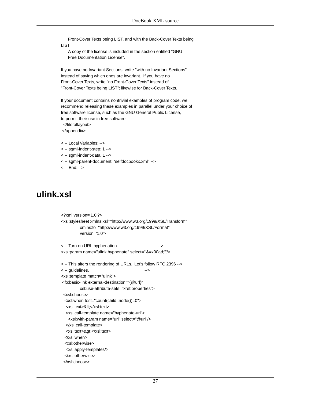Front-Cover Texts being LIST, and with the Back-Cover Texts being LIST.

 A copy of the license is included in the section entitled "GNU Free Documentation License".

If you have no Invariant Sections, write "with no Invariant Sections" instead of saying which ones are invariant. If you have no Front-Cover Texts, write "no Front-Cover Texts" instead of "Front-Cover Texts being LIST"; likewise for Back-Cover Texts.

If your document contains nontrivial examples of program code, we recommend releasing these examples in parallel under your choice of free software license, such as the GNU General Public License, to permit their use in free software.

 </literallayout> </appendix>

<!-- Local Variables: --> <!-- sgml-indent-step: 1 -->

- <!-- sgml-indent-data: 1 -->
- <!-- sgml-parent-document: "selfdocbookx.xml" -->
- <span id="page-29-0"></span><!-- End: -->

## **ulink.xsl**

```
<?xml version='1.0'?>
<xsl:stylesheet xmlns:xsl="http://www.w3.org/1999/XSL/Transform"
          xmlns:fo="http://www.w3.org/1999/XSL/Format"
          version='1.0'>
<!-- Turn on URL hyphenation.
<xsl:param name="ulink.hyphenate" select="'&#x00ad;"/>
<!-- This alters the rendering of URLs. Let's follow RFC 2396 -->
<!-- guidelines.
<xsl:template match="ulink">
 <fo:basic-link external-destination="{@url}"
          xsl:use-attribute-sets="xref.properties">
  <xsl:choose>
  <xsl:when test="count(child::node())=0">
  <xsl:text>&lt;</xsl:text>
   <xsl:call-template name="hyphenate-url">
    <xsl:with-param name="url" select="@url"/>
   </xsl:call-template>
  <xsl:text>&gt;</xsl:text>
  </xsl:when>
  <xsl:otherwise>
   <xsl:apply-templates/>
  </xsl:otherwise>
  </xsl:choose>
```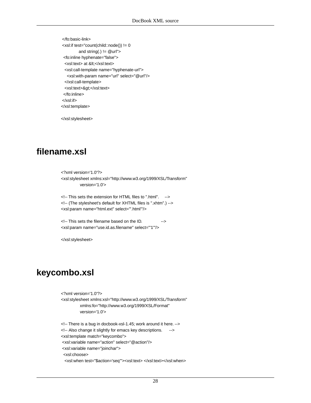</fo:basic-link> <xsl:if test="count(child::node()) != 0 and string(.)  $!=$  @url"> <fo:inline hyphenate="false"> <xsl:text> at &lt;</xsl:text> <xsl:call-template name="hyphenate-url"> <xsl:with-param name="url" select="@url"/> </xsl:call-template> <xsl:text>&gt;</xsl:text> </fo:inline> </xsl:if> </xsl:template>

<span id="page-30-0"></span></xsl:stylesheet>

## **filename.xsl**

<?xml version='1.0'?> <xsl:stylesheet xmlns:xsl="http://www.w3.org/1999/XSL/Transform" version='1.0'>

<!-- This sets the extension for HTML files to ".html". --> <!-- (The stylesheet's default for XHTML files is ".xhtm".) --> <xsl:param name="html.ext" select="'.html'"/>

<!-- This sets the filename based on the ID. --> <xsl:param name="use.id.as.filename" select="'1'"/>

<span id="page-30-1"></span></xsl:stylesheet>

## **keycombo.xsl**

<?xml version='1.0'?> <xsl:stylesheet xmlns:xsl="http://www.w3.org/1999/XSL/Transform" xmlns:fo="http://www.w3.org/1999/XSL/Format" version='1.0'> <!-- There is a bug in docbook-xsl-1.45; work around it here. --> <!-- Also change it slightly for emacs key descriptions. --> <xsl:template match="keycombo"> <xsl:variable name="action" select="@action"/> <xsl:variable name="joinchar"> <xsl:choose> <xsl:when test="\$action='seq'"><xsl:text> </xsl:text></xsl:when>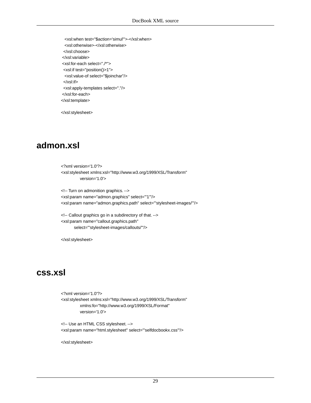<xsl:when test="\$action='simul'">-</xsl:when> <xsl:otherwise>-</xsl:otherwise> </xsl:choose> </xsl:variable> <xsl:for-each select="./\*"> <xsl:if test="position()>1"> <xsl:value-of select="\$joinchar"/> </xsl:if> <xsl:apply-templates select="."/> </xsl:for-each> </xsl:template>

<span id="page-31-0"></span></xsl:stylesheet>

## **admon.xsl**

```
<?xml version='1.0'?>
<xsl:stylesheet xmlns:xsl="http://www.w3.org/1999/XSL/Transform"
          version='1.0'>
```

```
<!-- Turn on admonition graphics. -->
<xsl:param name="admon.graphics" select="'1'"/>
<xsl:param name="admon.graphics.path" select="'stylesheet-images/'"/>
```

```
<!-- Callout graphics go in a subdirectory of that. -->
<xsl:param name="callout.graphics.path"
       select="'stylesheet-images/callouts/'"/>
```
<span id="page-31-1"></span></xsl:stylesheet>

### **css.xsl**

```
<?xml version='1.0'?>
<xsl:stylesheet xmlns:xsl="http://www.w3.org/1999/XSL/Transform"
          xmlns:fo="http://www.w3.org/1999/XSL/Format"
          version='1.0'>
```

```
<!-- Use an HTML CSS stylesheet. -->
<xsl:param name="html.stylesheet" select="'selfdocbookx.css'"/>
```
</xsl:stylesheet>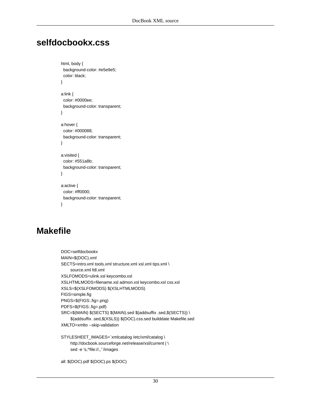## <span id="page-32-0"></span>**selfdocbookx.css**

```
html, body {
  background-color: #e5e9e5;
  color: black;
}
a:link {
  color: #0000ee;
  background-color: transparent;
}
a:hover {
  color: #000088;
  background-color: transparent;
}
a:visited {
  color: #551a8b;
  background-color: transparent;
}
a:active {
  color: #ff0000;
  background-color: transparent;
```

```
}
```
## **Makefile**

```
DOC=selfdocbookx
MAIN=$(DOC).xml
SECTS=intro.xml tools.xml structure.xml xsl.xml tips.xml \
     source.xml fdl.xml
XSLFOMODS=ulink.xsl keycombo.xsl
XSLHTMLMODS=filename.xsl admon.xsl keycombo.xsl css.xsl
XSLS=$(XSLFOMODS) $(XSLHTMLMODS)
FIGS=simple.fig
PNGS=$(FIGS:.fig=.png)
PDFS=$(FIGS:.fig=.pdf)
SRC=$(MAIN) $(SECTS) $(MAIN).sed $(addsuffix .sed,$(SECTS)) \
     $(addsuffix .sed,$(XSLS)) $(DOC).css.sed builddate Makefile.sed
XMLTO=xmlto --skip-validation
```

```
STYLESHEET_IMAGES=`xmlcatalog /etc/xml/catalog \
     http://docbook.sourceforge.net/release/xsl/current | \
     sed -e 's,^file://,,'`/images
```

```
all: $(DOC).pdf $(DOC).ps $(DOC)
```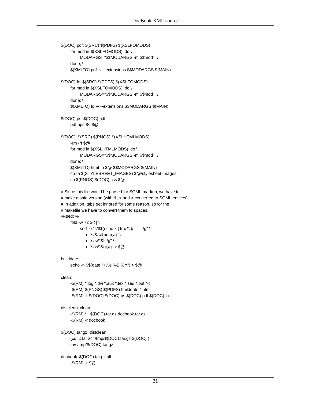```
$(DOC).pdf: $(SRC) $(PDFS) $(XSLFOMODS)
     for mod in $(XSLFOMODS); do \
          MODARGS="$$MODARGS -m $$mod"; \
     done; \
     $(XMLTO) pdf -v --extensions $$MODARGS $(MAIN)
$(DOC).fo: $(SRC) $(PDFS) $(XSLFOMODS)
     for mod in $(XSLFOMODS); do \
          MODARGS="$$MODARGS -m $$mod"; \
     done; \
     $(XMLTO) fo -v --extensions $$MODARGS $(MAIN)
$(DOC).ps: $(DOC).pdf
     pdftops $< $@
$(DOC): $(SRC) $(PNGS) $(XSLHTMLMODS)
     -rm -rf $@
     for mod in $(XSLHTMLMODS); do \
          MODARGS="$$MODARGS -m $$mod"; \
     done; \
     $(XMLTO) html -o $@ $$MODARGS $(MAIN)
     cp -a $(STYLESHEET_IMAGES) $@/stylesheet-images
     cp $(PNGS) $(DOC).css $@
# Since this file would be parsed for SGML markup, we have to
# make a safe version (with &, < and > converted to SGML entities)
# In addition, tabs get ignored for some reason, so for the
# Makefile we have to convert them to spaces.
%.sed: %
    fold -w 72 s < \mid \setminussed -e "s/$$(echo x | tr x \\t)/ /g'' \-e "s/&/\\&/g" \
           -e "s/<\land\</g" \land-e "s/>\wedge\wedge>/g" > $@
builddate:
     echo -n $$(date "+%e %B %Y") > $@
clean:
     -$(RM) *.log *.dvi *.aux *.tex *.sed *.out *-t
      -$(RM) $(PNGS) $(PDFS) builddate *.html
     -$(RM) -r $(DOC) $(DOC).ps $(DOC).pdf $(DOC).fo
distclean: clean
     -$(RM) *~ $(DOC).tar.gz docbook.tar.gz
     -$(RM) -r docbook
$(DOC).tar.gz: distclean
     (cd ..; tar zcf /tmp/$(DOC).tar.gz $(DOC) )
     mv /tmp/$(DOC).tar.gz .
docbook: $(DOC).tar.gz all
     -$(RM) -r $@
```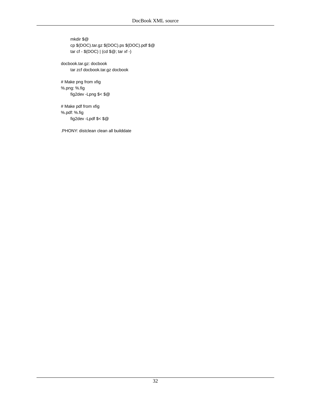mkdir \$@ cp \$(DOC).tar.gz \$(DOC).ps \$(DOC).pdf \$@ tar cf - \$(DOC) | (cd \$@; tar xf -)

docbook.tar.gz: docbook tar zcf docbook.tar.gz docbook

# Make png from xfig %.png: %.fig fig2dev -Lpng \$< \$@

# Make pdf from xfig %.pdf: %.fig fig2dev -Lpdf \$< \$@

.PHONY: distclean clean all builddate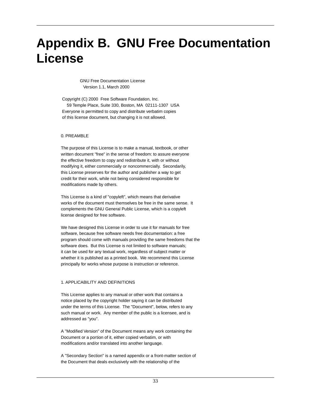# <span id="page-35-0"></span>**Appendix B. GNU Free Documentation License**

 GNU Free Documentation License Version 1.1, March 2000

 Copyright (C) 2000 Free Software Foundation, Inc. 59 Temple Place, Suite 330, Boston, MA 02111-1307 USA Everyone is permitted to copy and distribute verbatim copies of this license document, but changing it is not allowed.

#### 0. PREAMBLE

The purpose of this License is to make a manual, textbook, or other written document "free" in the sense of freedom: to assure everyone the effective freedom to copy and redistribute it, with or without modifying it, either commercially or noncommercially. Secondarily, this License preserves for the author and publisher a way to get credit for their work, while not being considered responsible for modifications made by others.

This License is a kind of "copyleft", which means that derivative works of the document must themselves be free in the same sense. It complements the GNU General Public License, which is a copyleft license designed for free software.

We have designed this License in order to use it for manuals for free software, because free software needs free documentation: a free program should come with manuals providing the same freedoms that the software does. But this License is not limited to software manuals; it can be used for any textual work, regardless of subject matter or whether it is published as a printed book. We recommend this License principally for works whose purpose is instruction or reference.

#### 1. APPLICABILITY AND DEFINITIONS

This License applies to any manual or other work that contains a notice placed by the copyright holder saying it can be distributed under the terms of this License. The "Document", below, refers to any such manual or work. Any member of the public is a licensee, and is addressed as "you".

A "Modified Version" of the Document means any work containing the Document or a portion of it, either copied verbatim, or with modifications and/or translated into another language.

A "Secondary Section" is a named appendix or a front-matter section of the Document that deals exclusively with the relationship of the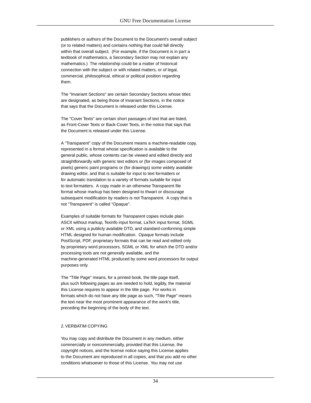publishers or authors of the Document to the Document's overall subject (or to related matters) and contains nothing that could fall directly within that overall subject. (For example, if the Document is in part a textbook of mathematics, a Secondary Section may not explain any mathematics.) The relationship could be a matter of historical connection with the subject or with related matters, or of legal, commercial, philosophical, ethical or political position regarding them.

The "Invariant Sections" are certain Secondary Sections whose titles are designated, as being those of Invariant Sections, in the notice that says that the Document is released under this License.

The "Cover Texts" are certain short passages of text that are listed, as Front-Cover Texts or Back-Cover Texts, in the notice that says that the Document is released under this License.

A "Transparent" copy of the Document means a machine-readable copy, represented in a format whose specification is available to the general public, whose contents can be viewed and edited directly and straightforwardly with generic text editors or (for images composed of pixels) generic paint programs or (for drawings) some widely available drawing editor, and that is suitable for input to text formatters or for automatic translation to a variety of formats suitable for input to text formatters. A copy made in an otherwise Transparent file format whose markup has been designed to thwart or discourage subsequent modification by readers is not Transparent. A copy that is not "Transparent" is called "Opaque".

Examples of suitable formats for Transparent copies include plain ASCII without markup, Texinfo input format, LaTeX input format, SGML or XML using a publicly available DTD, and standard-conforming simple HTML designed for human modification. Opaque formats include PostScript, PDF, proprietary formats that can be read and edited only by proprietary word processors, SGML or XML for which the DTD and/or processing tools are not generally available, and the machine-generated HTML produced by some word processors for output purposes only.

The "Title Page" means, for a printed book, the title page itself, plus such following pages as are needed to hold, legibly, the material this License requires to appear in the title page. For works in formats which do not have any title page as such, "Title Page" means the text near the most prominent appearance of the work's title, preceding the beginning of the body of the text.

#### 2. VERBATIM COPYING

You may copy and distribute the Document in any medium, either commercially or noncommercially, provided that this License, the copyright notices, and the license notice saying this License applies to the Document are reproduced in all copies, and that you add no other conditions whatsoever to those of this License. You may not use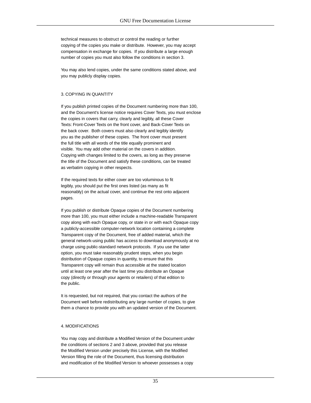technical measures to obstruct or control the reading or further copying of the copies you make or distribute. However, you may accept compensation in exchange for copies. If you distribute a large enough number of copies you must also follow the conditions in section 3.

You may also lend copies, under the same conditions stated above, and you may publicly display copies.

#### 3. COPYING IN QUANTITY

If you publish printed copies of the Document numbering more than 100, and the Document's license notice requires Cover Texts, you must enclose the copies in covers that carry, clearly and legibly, all these Cover Texts: Front-Cover Texts on the front cover, and Back-Cover Texts on the back cover. Both covers must also clearly and legibly identify you as the publisher of these copies. The front cover must present the full title with all words of the title equally prominent and visible. You may add other material on the covers in addition. Copying with changes limited to the covers, as long as they preserve the title of the Document and satisfy these conditions, can be treated as verbatim copying in other respects.

If the required texts for either cover are too voluminous to fit legibly, you should put the first ones listed (as many as fit reasonably) on the actual cover, and continue the rest onto adjacent pages.

If you publish or distribute Opaque copies of the Document numbering more than 100, you must either include a machine-readable Transparent copy along with each Opaque copy, or state in or with each Opaque copy a publicly-accessible computer-network location containing a complete Transparent copy of the Document, free of added material, which the general network-using public has access to download anonymously at no charge using public-standard network protocols. If you use the latter option, you must take reasonably prudent steps, when you begin distribution of Opaque copies in quantity, to ensure that this Transparent copy will remain thus accessible at the stated location until at least one year after the last time you distribute an Opaque copy (directly or through your agents or retailers) of that edition to the public.

It is requested, but not required, that you contact the authors of the Document well before redistributing any large number of copies, to give them a chance to provide you with an updated version of the Document.

#### 4. MODIFICATIONS

You may copy and distribute a Modified Version of the Document under the conditions of sections 2 and 3 above, provided that you release the Modified Version under precisely this License, with the Modified Version filling the role of the Document, thus licensing distribution and modification of the Modified Version to whoever possesses a copy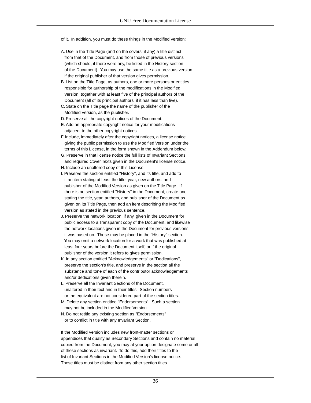- of it. In addition, you must do these things in the Modified Version:
- A. Use in the Title Page (and on the covers, if any) a title distinct from that of the Document, and from those of previous versions (which should, if there were any, be listed in the History section of the Document). You may use the same title as a previous version if the original publisher of that version gives permission.
- B. List on the Title Page, as authors, one or more persons or entities responsible for authorship of the modifications in the Modified Version, together with at least five of the principal authors of the Document (all of its principal authors, if it has less than five).
- C. State on the Title page the name of the publisher of the Modified Version, as the publisher.
- D. Preserve all the copyright notices of the Document.
- E. Add an appropriate copyright notice for your modifications adjacent to the other copyright notices.
- F. Include, immediately after the copyright notices, a license notice giving the public permission to use the Modified Version under the terms of this License, in the form shown in the Addendum below.
- G. Preserve in that license notice the full lists of Invariant Sections and required Cover Texts given in the Document's license notice.
- H. Include an unaltered copy of this License.
- I. Preserve the section entitled "History", and its title, and add to it an item stating at least the title, year, new authors, and publisher of the Modified Version as given on the Title Page. If there is no section entitled "History" in the Document, create one stating the title, year, authors, and publisher of the Document as given on its Title Page, then add an item describing the Modified Version as stated in the previous sentence.
- J. Preserve the network location, if any, given in the Document for public access to a Transparent copy of the Document, and likewise the network locations given in the Document for previous versions it was based on. These may be placed in the "History" section. You may omit a network location for a work that was published at least four years before the Document itself, or if the original publisher of the version it refers to gives permission.
- K. In any section entitled "Acknowledgements" or "Dedications", preserve the section's title, and preserve in the section all the substance and tone of each of the contributor acknowledgements and/or dedications given therein.
- L. Preserve all the Invariant Sections of the Document, unaltered in their text and in their titles. Section numbers or the equivalent are not considered part of the section titles.
- M. Delete any section entitled "Endorsements". Such a section may not be included in the Modified Version.
- N. Do not retitle any existing section as "Endorsements" or to conflict in title with any Invariant Section.

If the Modified Version includes new front-matter sections or appendices that qualify as Secondary Sections and contain no material copied from the Document, you may at your option designate some or all of these sections as invariant. To do this, add their titles to the list of Invariant Sections in the Modified Version's license notice. These titles must be distinct from any other section titles.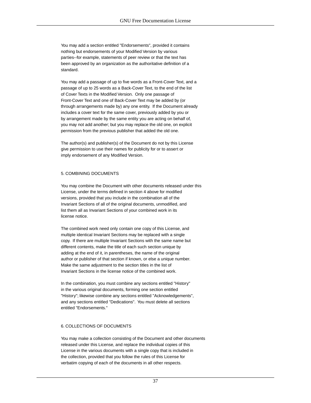You may add a section entitled "Endorsements", provided it contains nothing but endorsements of your Modified Version by various parties--for example, statements of peer review or that the text has been approved by an organization as the authoritative definition of a standard.

You may add a passage of up to five words as a Front-Cover Text, and a passage of up to 25 words as a Back-Cover Text, to the end of the list of Cover Texts in the Modified Version. Only one passage of Front-Cover Text and one of Back-Cover Text may be added by (or through arrangements made by) any one entity. If the Document already includes a cover text for the same cover, previously added by you or by arrangement made by the same entity you are acting on behalf of, you may not add another; but you may replace the old one, on explicit permission from the previous publisher that added the old one.

The author(s) and publisher(s) of the Document do not by this License give permission to use their names for publicity for or to assert or imply endorsement of any Modified Version.

#### 5. COMBINING DOCUMENTS

You may combine the Document with other documents released under this License, under the terms defined in section 4 above for modified versions, provided that you include in the combination all of the Invariant Sections of all of the original documents, unmodified, and list them all as Invariant Sections of your combined work in its license notice.

The combined work need only contain one copy of this License, and multiple identical Invariant Sections may be replaced with a single copy. If there are multiple Invariant Sections with the same name but different contents, make the title of each such section unique by adding at the end of it, in parentheses, the name of the original author or publisher of that section if known, or else a unique number. Make the same adjustment to the section titles in the list of Invariant Sections in the license notice of the combined work.

In the combination, you must combine any sections entitled "History" in the various original documents, forming one section entitled "History"; likewise combine any sections entitled "Acknowledgements", and any sections entitled "Dedications". You must delete all sections entitled "Endorsements."

#### 6. COLLECTIONS OF DOCUMENTS

You may make a collection consisting of the Document and other documents released under this License, and replace the individual copies of this License in the various documents with a single copy that is included in the collection, provided that you follow the rules of this License for verbatim copying of each of the documents in all other respects.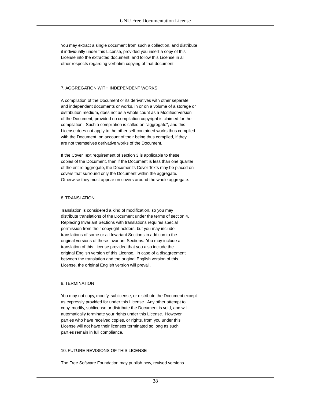You may extract a single document from such a collection, and distribute it individually under this License, provided you insert a copy of this License into the extracted document, and follow this License in all other respects regarding verbatim copying of that document.

#### 7. AGGREGATION WITH INDEPENDENT WORKS

A compilation of the Document or its derivatives with other separate and independent documents or works, in or on a volume of a storage or distribution medium, does not as a whole count as a Modified Version of the Document, provided no compilation copyright is claimed for the compilation. Such a compilation is called an "aggregate", and this License does not apply to the other self-contained works thus compiled with the Document, on account of their being thus compiled, if they are not themselves derivative works of the Document.

If the Cover Text requirement of section 3 is applicable to these copies of the Document, then if the Document is less than one quarter of the entire aggregate, the Document's Cover Texts may be placed on covers that surround only the Document within the aggregate. Otherwise they must appear on covers around the whole aggregate.

#### 8. TRANSLATION

Translation is considered a kind of modification, so you may distribute translations of the Document under the terms of section 4. Replacing Invariant Sections with translations requires special permission from their copyright holders, but you may include translations of some or all Invariant Sections in addition to the original versions of these Invariant Sections. You may include a translation of this License provided that you also include the original English version of this License. In case of a disagreement between the translation and the original English version of this License, the original English version will prevail.

#### 9. TERMINATION

You may not copy, modify, sublicense, or distribute the Document except as expressly provided for under this License. Any other attempt to copy, modify, sublicense or distribute the Document is void, and will automatically terminate your rights under this License. However, parties who have received copies, or rights, from you under this License will not have their licenses terminated so long as such parties remain in full compliance.

#### 10. FUTURE REVISIONS OF THIS LICENSE

The Free Software Foundation may publish new, revised versions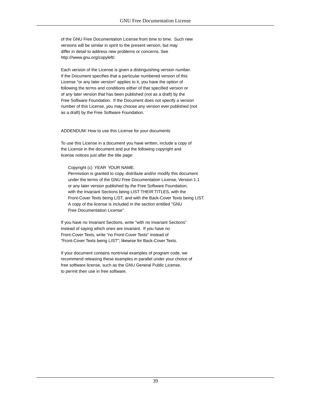of the GNU Free Documentation License from time to time. Such new versions will be similar in spirit to the present version, but may differ in detail to address new problems or concerns. See http:///www.gnu.org/copyleft/.

Each version of the License is given a distinguishing version number. If the Document specifies that a particular numbered version of this License "or any later version" applies to it, you have the option of following the terms and conditions either of that specified version or of any later version that has been published (not as a draft) by the Free Software Foundation. If the Document does not specify a version number of this License, you may choose any version ever published (not as a draft) by the Free Software Foundation.

ADDENDUM: How to use this License for your documents

To use this License in a document you have written, include a copy of the License in the document and put the following copyright and license notices just after the title page:

#### Copyright (c) YEAR YOUR NAME.

 Permission is granted to copy, distribute and/or modify this document under the terms of the GNU Free Documentation License, Version 1.1 or any later version published by the Free Software Foundation; with the Invariant Sections being LIST THEIR TITLES, with the Front-Cover Texts being LIST, and with the Back-Cover Texts being LIST. A copy of the license is included in the section entitled "GNU Free Documentation License".

If you have no Invariant Sections, write "with no Invariant Sections" instead of saying which ones are invariant. If you have no Front-Cover Texts, write "no Front-Cover Texts" instead of "Front-Cover Texts being LIST"; likewise for Back-Cover Texts.

If your document contains nontrivial examples of program code, we recommend releasing these examples in parallel under your choice of free software license, such as the GNU General Public License, to permit their use in free software.